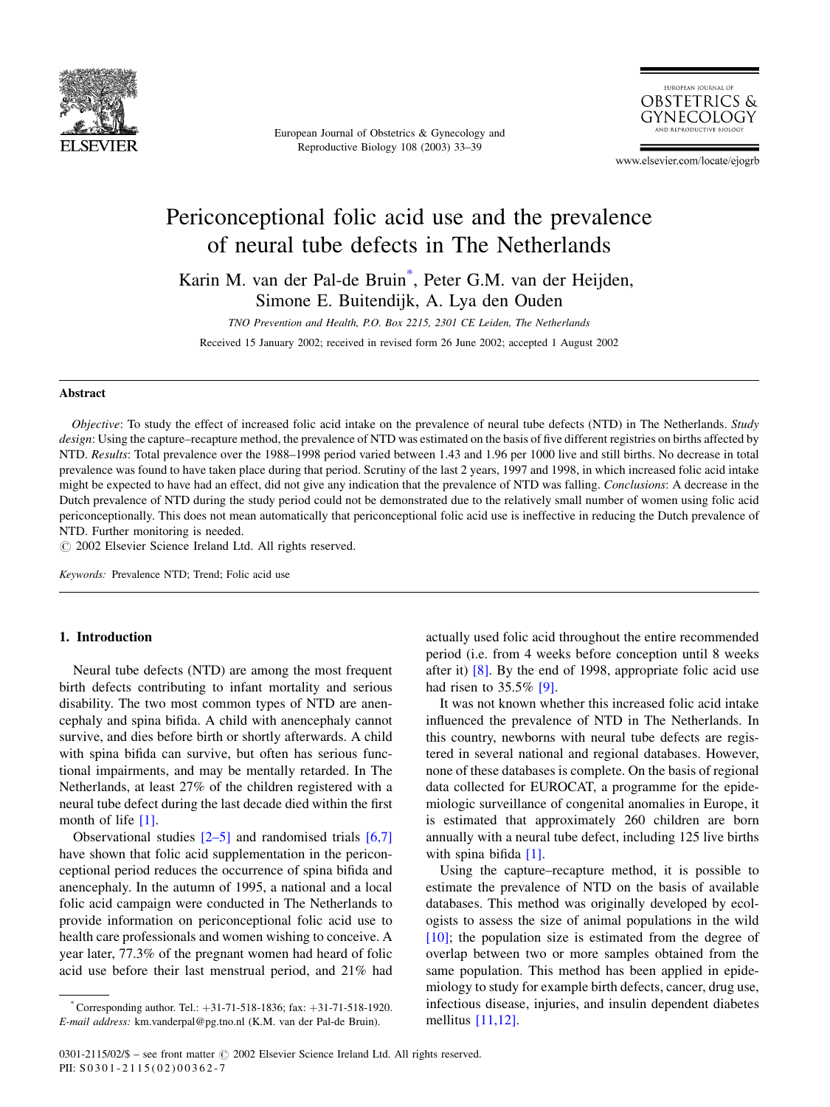

European Journal of Obstetrics & Gynecology and Reproductive Biology 108 (2003) 33–39



www.elsevier.com/locate/ejogrb

# Periconceptional folic acid use and the prevalence of neural tube defects in The Netherlands

Karin M. van der Pal-de Bruin\* , Peter G.M. van der Heijden, Simone E. Buitendijk, A. Lya den Ouden

TNO Prevention and Health, P.O. Box 2215, 2301 CE Leiden, The Netherlands Received 15 January 2002; received in revised form 26 June 2002; accepted 1 August 2002

#### Abstract

Objective: To study the effect of increased folic acid intake on the prevalence of neural tube defects (NTD) in The Netherlands. Study design: Using the capture–recapture method, the prevalence of NTD was estimated on the basis of five different registries on births affected by NTD. Results: Total prevalence over the 1988–1998 period varied between 1.43 and 1.96 per 1000 live and still births. No decrease in total prevalence was found to have taken place during that period. Scrutiny of the last 2 years, 1997 and 1998, in which increased folic acid intake might be expected to have had an effect, did not give any indication that the prevalence of NTD was falling. Conclusions: A decrease in the Dutch prevalence of NTD during the study period could not be demonstrated due to the relatively small number of women using folic acid periconceptionally. This does not mean automatically that periconceptional folic acid use is ineffective in reducing the Dutch prevalence of NTD. Further monitoring is needed.

 $\odot$  2002 Elsevier Science Ireland Ltd. All rights reserved.

Keywords: Prevalence NTD; Trend; Folic acid use

### 1. Introduction

Neural tube defects (NTD) are among the most frequent birth defects contributing to infant mortality and serious disability. The two most common types of NTD are anencephaly and spina bifida. A child with anencephaly cannot survive, and dies before birth or shortly afterwards. A child with spina bifida can survive, but often has serious functional impairments, and may be mentally retarded. In The Netherlands, at least 27% of the children registered with a neural tube defect during the last decade died within the first month of life [\[1\]](#page-5-0).

Observational studies  $[2-5]$  and randomised trials  $[6,7]$ have shown that folic acid supplementation in the periconceptional period reduces the occurrence of spina bifida and anencephaly. In the autumn of 1995, a national and a local folic acid campaign were conducted in The Netherlands to provide information on periconceptional folic acid use to health care professionals and women wishing to conceive. A year later, 77.3% of the pregnant women had heard of folic acid use before their last menstrual period, and 21% had

actually used folic acid throughout the entire recommended period (i.e. from 4 weeks before conception until 8 weeks after it) [\[8\].](#page-5-0) By the end of 1998, appropriate folic acid use had risen to 35.5% [\[9\].](#page-5-0)

It was not known whether this increased folic acid intake influenced the prevalence of NTD in The Netherlands. In this country, newborns with neural tube defects are registered in several national and regional databases. However, none of these databases is complete. On the basis of regional data collected for EUROCAT, a programme for the epidemiologic surveillance of congenital anomalies in Europe, it is estimated that approximately 260 children are born annually with a neural tube defect, including 125 live births with spina bifida [\[1\].](#page-5-0)

Using the capture–recapture method, it is possible to estimate the prevalence of NTD on the basis of available databases. This method was originally developed by ecologists to assess the size of animal populations in the wild [\[10\]](#page-5-0); the population size is estimated from the degree of overlap between two or more samples obtained from the same population. This method has been applied in epidemiology to study for example birth defects, cancer, drug use, infectious disease, injuries, and insulin dependent diabetes mellitus [\[11,12\]](#page-5-0).

 $*$  Corresponding author. Tel.:  $+31-71-518-1836$ ; fax:  $+31-71-518-1920$ . E-mail address: km.vanderpal@pg.tno.nl (K.M. van der Pal-de Bruin).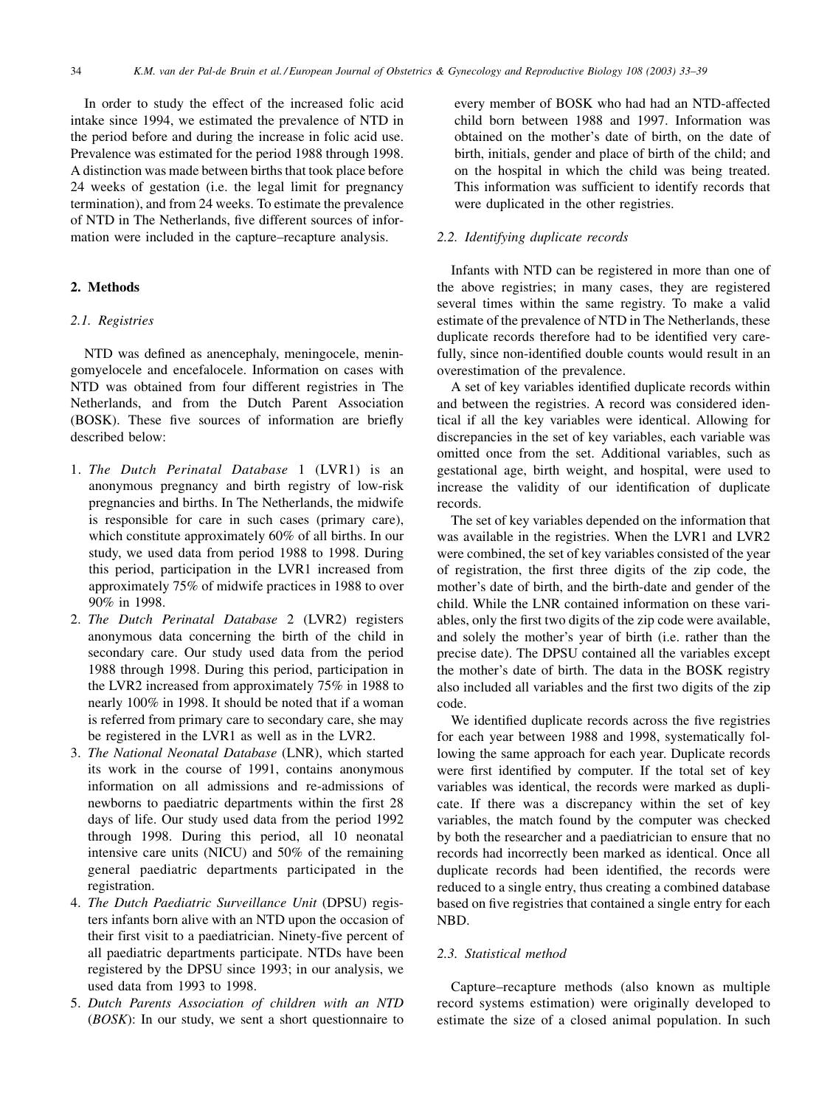In order to study the effect of the increased folic acid intake since 1994, we estimated the prevalence of NTD in the period before and during the increase in folic acid use. Prevalence was estimated for the period 1988 through 1998. A distinction was made between births that took place before 24 weeks of gestation (i.e. the legal limit for pregnancy termination), and from 24 weeks. To estimate the prevalence of NTD in The Netherlands, five different sources of information were included in the capture–recapture analysis.

### 2. Methods

## 2.1. Registries

NTD was defined as anencephaly, meningocele, meningomyelocele and encefalocele. Information on cases with NTD was obtained from four different registries in The Netherlands, and from the Dutch Parent Association (BOSK). These five sources of information are briefly described below:

- 1. The Dutch Perinatal Database 1 (LVR1) is an anonymous pregnancy and birth registry of low-risk pregnancies and births. In The Netherlands, the midwife is responsible for care in such cases (primary care), which constitute approximately 60% of all births. In our study, we used data from period 1988 to 1998. During this period, participation in the LVR1 increased from approximately 75% of midwife practices in 1988 to over 90% in 1998.
- 2. The Dutch Perinatal Database 2 (LVR2) registers anonymous data concerning the birth of the child in secondary care. Our study used data from the period 1988 through 1998. During this period, participation in the LVR2 increased from approximately 75% in 1988 to nearly 100% in 1998. It should be noted that if a woman is referred from primary care to secondary care, she may be registered in the LVR1 as well as in the LVR2.
- 3. The National Neonatal Database (LNR), which started its work in the course of 1991, contains anonymous information on all admissions and re-admissions of newborns to paediatric departments within the first 28 days of life. Our study used data from the period 1992 through 1998. During this period, all 10 neonatal intensive care units (NICU) and 50% of the remaining general paediatric departments participated in the registration.
- 4. The Dutch Paediatric Surveillance Unit (DPSU) registers infants born alive with an NTD upon the occasion of their first visit to a paediatrician. Ninety-five percent of all paediatric departments participate. NTDs have been registered by the DPSU since 1993; in our analysis, we used data from 1993 to 1998.
- 5. Dutch Parents Association of children with an NTD (BOSK): In our study, we sent a short questionnaire to

every member of BOSK who had had an NTD-affected child born between 1988 and 1997. Information was obtained on the mother's date of birth, on the date of birth, initials, gender and place of birth of the child; and on the hospital in which the child was being treated. This information was sufficient to identify records that were duplicated in the other registries.

## 2.2. Identifying duplicate records

Infants with NTD can be registered in more than one of the above registries; in many cases, they are registered several times within the same registry. To make a valid estimate of the prevalence of NTD in The Netherlands, these duplicate records therefore had to be identified very carefully, since non-identified double counts would result in an overestimation of the prevalence.

A set of key variables identified duplicate records within and between the registries. A record was considered identical if all the key variables were identical. Allowing for discrepancies in the set of key variables, each variable was omitted once from the set. Additional variables, such as gestational age, birth weight, and hospital, were used to increase the validity of our identification of duplicate records.

The set of key variables depended on the information that was available in the registries. When the LVR1 and LVR2 were combined, the set of key variables consisted of the year of registration, the first three digits of the zip code, the mother's date of birth, and the birth-date and gender of the child. While the LNR contained information on these variables, only the first two digits of the zip code were available, and solely the mother's year of birth (i.e. rather than the precise date). The DPSU contained all the variables except the mother's date of birth. The data in the BOSK registry also included all variables and the first two digits of the zip code.

We identified duplicate records across the five registries for each year between 1988 and 1998, systematically following the same approach for each year. Duplicate records were first identified by computer. If the total set of key variables was identical, the records were marked as duplicate. If there was a discrepancy within the set of key variables, the match found by the computer was checked by both the researcher and a paediatrician to ensure that no records had incorrectly been marked as identical. Once all duplicate records had been identified, the records were reduced to a single entry, thus creating a combined database based on five registries that contained a single entry for each NBD.

### 2.3. Statistical method

Capture–recapture methods (also known as multiple record systems estimation) were originally developed to estimate the size of a closed animal population. In such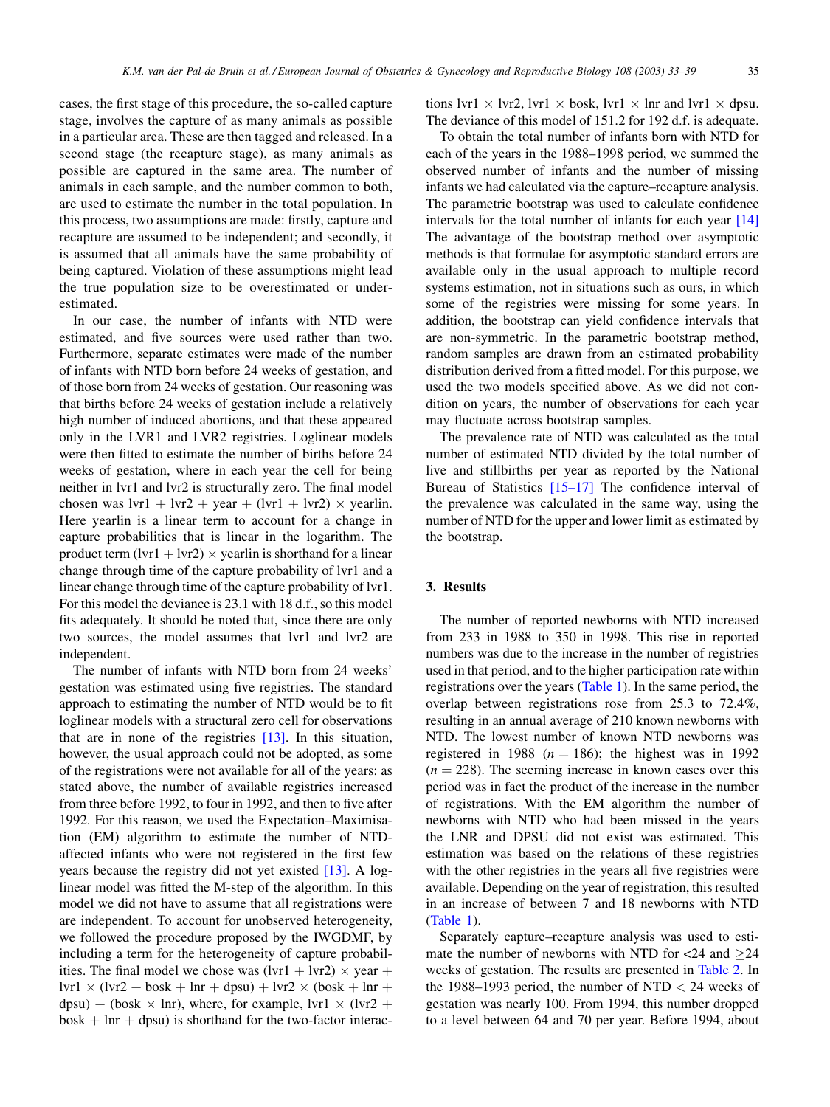cases, the first stage of this procedure, the so-called capture stage, involves the capture of as many animals as possible in a particular area. These are then tagged and released. In a second stage (the recapture stage), as many animals as possible are captured in the same area. The number of animals in each sample, and the number common to both, are used to estimate the number in the total population. In this process, two assumptions are made: firstly, capture and recapture are assumed to be independent; and secondly, it is assumed that all animals have the same probability of being captured. Violation of these assumptions might lead the true population size to be overestimated or underestimated.

In our case, the number of infants with NTD were estimated, and five sources were used rather than two. Furthermore, separate estimates were made of the number of infants with NTD born before 24 weeks of gestation, and of those born from 24 weeks of gestation. Our reasoning was that births before 24 weeks of gestation include a relatively high number of induced abortions, and that these appeared only in the LVR1 and LVR2 registries. Loglinear models were then fitted to estimate the number of births before 24 weeks of gestation, where in each year the cell for being neither in lvr1 and lvr2 is structurally zero. The final model chosen was  $lvr1 + lvr2 + year + (lvr1 + lvr2) \times year$ lin. Here yearlin is a linear term to account for a change in capture probabilities that is linear in the logarithm. The product term (lvr1 + lvr2)  $\times$  yearlin is shorthand for a linear change through time of the capture probability of lvr1 and a linear change through time of the capture probability of lvr1. For this model the deviance is 23.1 with 18 d.f., so this model fits adequately. It should be noted that, since there are only two sources, the model assumes that lvr1 and lvr2 are independent.

The number of infants with NTD born from 24 weeks' gestation was estimated using five registries. The standard approach to estimating the number of NTD would be to fit loglinear models with a structural zero cell for observations that are in none of the registries [\[13\].](#page-6-0) In this situation, however, the usual approach could not be adopted, as some of the registrations were not available for all of the years: as stated above, the number of available registries increased from three before 1992, to four in 1992, and then to five after 1992. For this reason, we used the Expectation–Maximisation (EM) algorithm to estimate the number of NTDaffected infants who were not registered in the first few years because the registry did not yet existed [\[13\].](#page-6-0) A loglinear model was fitted the M-step of the algorithm. In this model we did not have to assume that all registrations were are independent. To account for unobserved heterogeneity, we followed the procedure proposed by the IWGDMF, by including a term for the heterogeneity of capture probabilities. The final model we chose was  $(lvr1 + lvr2) \times year +$  $lvr1 \times (lvr2 + bosk + lnr + dyn) + lvr2 \times (bosk + lnr + q)$  $dpsu$ ) + (bosk  $\times$  lnr), where, for example, lvr1  $\times$  (lvr2 +  $bosh + \ln r + dp$ su) is shorthand for the two-factor interac-

tions lvr1  $\times$  lvr2, lvr1  $\times$  bosk, lvr1  $\times$  lnr and lvr1  $\times$  dpsu. The deviance of this model of 151.2 for 192 d.f. is adequate.

To obtain the total number of infants born with NTD for each of the years in the 1988–1998 period, we summed the observed number of infants and the number of missing infants we had calculated via the capture–recapture analysis. The parametric bootstrap was used to calculate confidence intervals for the total number of infants for each year [\[14\]](#page-6-0) The advantage of the bootstrap method over asymptotic methods is that formulae for asymptotic standard errors are available only in the usual approach to multiple record systems estimation, not in situations such as ours, in which some of the registries were missing for some years. In addition, the bootstrap can yield confidence intervals that are non-symmetric. In the parametric bootstrap method, random samples are drawn from an estimated probability distribution derived from a fitted model. For this purpose, we used the two models specified above. As we did not condition on years, the number of observations for each year may fluctuate across bootstrap samples.

The prevalence rate of NTD was calculated as the total number of estimated NTD divided by the total number of live and stillbirths per year as reported by the National Bureau of Statistics [\[15–17\]](#page-6-0) The confidence interval of the prevalence was calculated in the same way, using the number of NTD for the upper and lower limit as estimated by the bootstrap.

# 3. Results

The number of reported newborns with NTD increased from 233 in 1988 to 350 in 1998. This rise in reported numbers was due to the increase in the number of registries used in that period, and to the higher participation rate within registrations over the years ([Table 1\)](#page-3-0). In the same period, the overlap between registrations rose from 25.3 to 72.4%, resulting in an annual average of 210 known newborns with NTD. The lowest number of known NTD newborns was registered in 1988 ( $n = 186$ ); the highest was in 1992  $(n = 228)$ . The seeming increase in known cases over this period was in fact the product of the increase in the number of registrations. With the EM algorithm the number of newborns with NTD who had been missed in the years the LNR and DPSU did not exist was estimated. This estimation was based on the relations of these registries with the other registries in the years all five registries were available. Depending on the year of registration, this resulted in an increase of between 7 and 18 newborns with NTD ([Table 1](#page-3-0)).

Separately capture–recapture analysis was used to estimate the number of newborns with NTD for  $\langle 24 \rangle$  and  $\langle 24 \rangle$ weeks of gestation. The results are presented in [Table 2.](#page-3-0) In the 1988–1993 period, the number of NTD < 24 weeks of gestation was nearly 100. From 1994, this number dropped to a level between 64 and 70 per year. Before 1994, about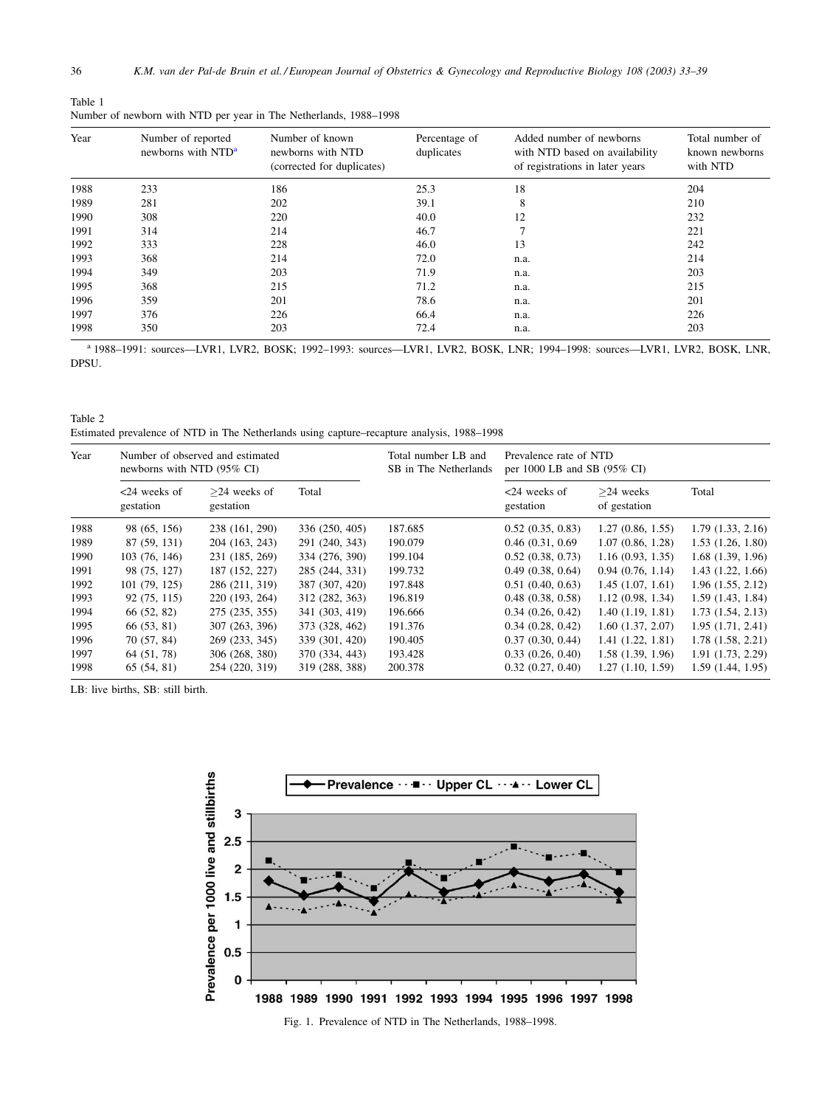<span id="page-3-0"></span>

| Table 1                                                           |  |  |
|-------------------------------------------------------------------|--|--|
| Number of newborn with NTD per year in The Netherlands, 1988–1998 |  |  |

| Year | Number of reported<br>newborns with NTD <sup>a</sup> | Number of known<br>newborns with NTD<br>(corrected for duplicates) | Percentage of<br>duplicates | Added number of newborns<br>with NTD based on availability<br>of registrations in later years | Total number of<br>known newborns<br>with NTD |
|------|------------------------------------------------------|--------------------------------------------------------------------|-----------------------------|-----------------------------------------------------------------------------------------------|-----------------------------------------------|
| 1988 | 233                                                  | 186                                                                | 25.3                        | 18                                                                                            | 204                                           |
| 1989 | 281                                                  | 202                                                                | 39.1                        | 8                                                                                             | 210                                           |
| 1990 | 308                                                  | 220                                                                | 40.0                        | 12                                                                                            | 232                                           |
| 1991 | 314                                                  | 214                                                                | 46.7                        | 7                                                                                             | 221                                           |
| 1992 | 333                                                  | 228                                                                | 46.0                        | 13                                                                                            | 242                                           |
| 1993 | 368                                                  | 214                                                                | 72.0                        | n.a.                                                                                          | 214                                           |
| 1994 | 349                                                  | 203                                                                | 71.9                        | n.a.                                                                                          | 203                                           |
| 1995 | 368                                                  | 215                                                                | 71.2                        | n.a.                                                                                          | 215                                           |
| 1996 | 359                                                  | 201                                                                | 78.6                        | n.a.                                                                                          | 201                                           |
| 1997 | 376                                                  | 226                                                                | 66.4                        | n.a.                                                                                          | 226                                           |
| 1998 | 350                                                  | 203                                                                | 72.4                        | n.a.                                                                                          | 203                                           |

<sup>a</sup> 1988–1991: sources—LVR1, LVR2, BOSK; 1992–1993: sources—LVR1, LVR2, BOSK, LNR; 1994–1998: sources—LVR1, LVR2, BOSK, LNR, DPSU.

Table 2 Estimated prevalence of NTD in The Netherlands using capture–recapture analysis, 1988–1998

| Year | Number of observed and estimated<br>newborns with NTD (95% CI) |                             |                | Total number LB and<br>SB in The Netherlands | Prevalence rate of NTD<br>per 1000 LB and SB (95% CI) |                             |                   |
|------|----------------------------------------------------------------|-----------------------------|----------------|----------------------------------------------|-------------------------------------------------------|-----------------------------|-------------------|
|      | $<24$ weeks of<br>gestation                                    | $>24$ weeks of<br>gestation | Total          |                                              | $<24$ weeks of<br>gestation                           | $>24$ weeks<br>of gestation | Total             |
| 1988 | 98 (65, 156)                                                   | 238 (161, 290)              | 336 (250, 405) | 187.685                                      | 0.52(0.35, 0.83)                                      | 1.27(0.86, 1.55)            | 1.79(1.33, 2.16)  |
| 1989 | 87 (59, 131)                                                   | 204 (163, 243)              | 291 (240, 343) | 190.079                                      | 0.46(0.31, 0.69)                                      | 1.07(0.86, 1.28)            | 1.53(1.26, 1.80)  |
| 1990 | 103 (76, 146)                                                  | 231 (185, 269)              | 334 (276, 390) | 199.104                                      | 0.52(0.38, 0.73)                                      | 1.16(0.93, 1.35)            | 1.68(1.39, 1.96)  |
| 1991 | 98 (75, 127)                                                   | 187 (152, 227)              | 285 (244, 331) | 199.732                                      | 0.49(0.38, 0.64)                                      | 0.94(0.76, 1.14)            | 1.43(1.22, 1.66)  |
| 1992 | 101(79, 125)                                                   | 286 (211, 319)              | 387 (307, 420) | 197.848                                      | 0.51(0.40, 0.63)                                      | 1.45(1.07, 1.61)            | 1.96(1.55, 2.12)  |
| 1993 | 92 (75, 115)                                                   | 220 (193, 264)              | 312 (282, 363) | 196.819                                      | $0.48$ $(0.38, 0.58)$                                 | 1.12(0.98, 1.34)            | 1.59(1.43, 1.84)  |
| 1994 | 66 (52, 82)                                                    | 275 (235, 355)              | 341 (303, 419) | 196.666                                      | 0.34(0.26, 0.42)                                      | 1.40(1.19, 1.81)            | 1.73(1.54, 2.13)  |
| 1995 | 66 (53, 81)                                                    | 307 (263, 396)              | 373 (328, 462) | 191.376                                      | 0.34(0.28, 0.42)                                      | 1.60(1.37, 2.07)            | 1.95(1.71, 2.41)  |
| 1996 | 70 (57, 84)                                                    | 269 (233, 345)              | 339 (301, 420) | 190.405                                      | 0.37(0.30, 0.44)                                      | 1.41(1.22, 1.81)            | 1.78(1.58, 2.21)  |
| 1997 | 64 (51, 78)                                                    | 306 (268, 380)              | 370 (334, 443) | 193.428                                      | 0.33(0.26, 0.40)                                      | 1.58(1.39, 1.96)            | 1.91(1.73, 2.29)  |
| 1998 | 65(54, 81)                                                     | 254 (220, 319)              | 319 (288, 388) | 200.378                                      | 0.32(0.27, 0.40)                                      | 1.27(1.10, 1.59)            | 1.59 (1.44, 1.95) |

LB: live births, SB: still birth.



Fig. 1. Prevalence of NTD in The Netherlands, 1988–1998.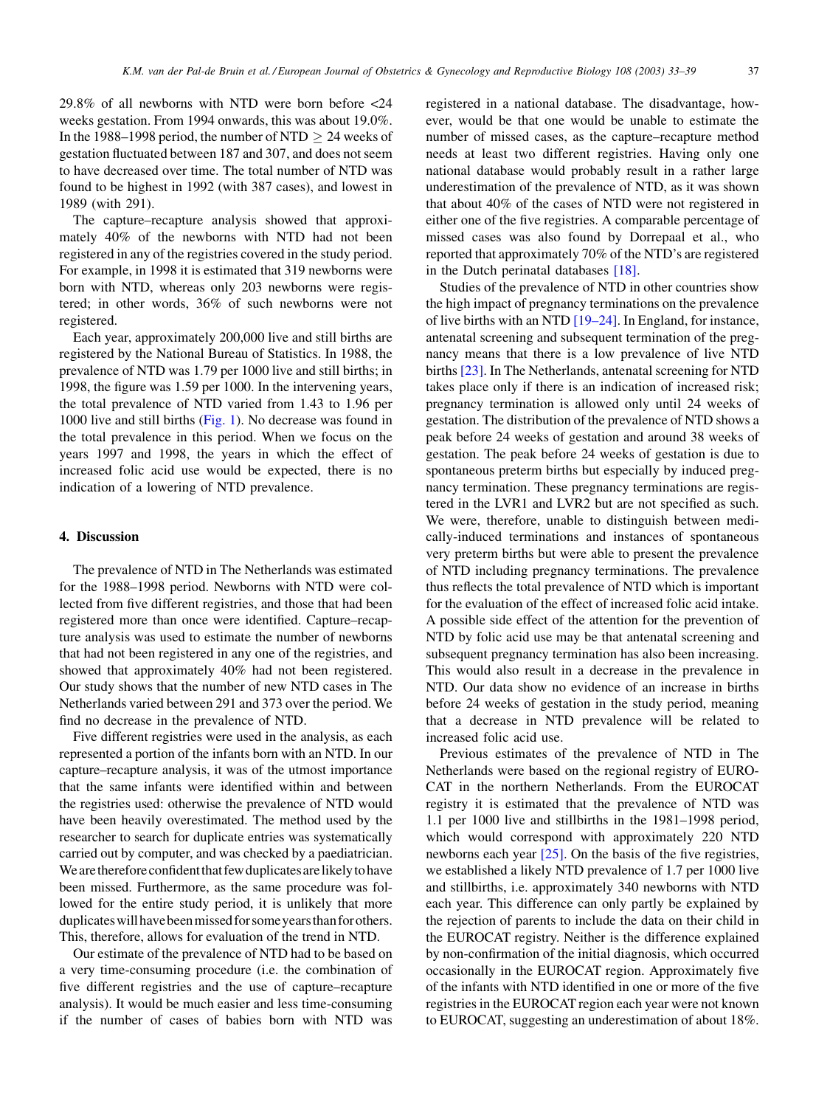29.8% of all newborns with NTD were born before <24 weeks gestation. From 1994 onwards, this was about 19.0%. In the 1988–1998 period, the number of NTD  $\geq 24$  weeks of gestation fluctuated between 187 and 307, and does not seem to have decreased over time. The total number of NTD was found to be highest in 1992 (with 387 cases), and lowest in 1989 (with 291).

The capture–recapture analysis showed that approximately 40% of the newborns with NTD had not been registered in any of the registries covered in the study period. For example, in 1998 it is estimated that 319 newborns were born with NTD, whereas only 203 newborns were registered; in other words, 36% of such newborns were not registered.

Each year, approximately 200,000 live and still births are registered by the National Bureau of Statistics. In 1988, the prevalence of NTD was 1.79 per 1000 live and still births; in 1998, the figure was 1.59 per 1000. In the intervening years, the total prevalence of NTD varied from 1.43 to 1.96 per 1000 live and still births [\(Fig. 1\)](#page-3-0). No decrease was found in the total prevalence in this period. When we focus on the years 1997 and 1998, the years in which the effect of increased folic acid use would be expected, there is no indication of a lowering of NTD prevalence.

# 4. Discussion

The prevalence of NTD in The Netherlands was estimated for the 1988–1998 period. Newborns with NTD were collected from five different registries, and those that had been registered more than once were identified. Capture–recapture analysis was used to estimate the number of newborns that had not been registered in any one of the registries, and showed that approximately 40% had not been registered. Our study shows that the number of new NTD cases in The Netherlands varied between 291 and 373 over the period. We find no decrease in the prevalence of NTD.

Five different registries were used in the analysis, as each represented a portion of the infants born with an NTD. In our capture–recapture analysis, it was of the utmost importance that the same infants were identified within and between the registries used: otherwise the prevalence of NTD would have been heavily overestimated. The method used by the researcher to search for duplicate entries was systematically carried out by computer, and was checked by a paediatrician. We are therefore confident that few duplicates are likely to have been missed. Furthermore, as the same procedure was followed for the entire study period, it is unlikely that more duplicates will have been missed for some years than for others. This, therefore, allows for evaluation of the trend in NTD.

Our estimate of the prevalence of NTD had to be based on a very time-consuming procedure (i.e. the combination of five different registries and the use of capture–recapture analysis). It would be much easier and less time-consuming if the number of cases of babies born with NTD was

registered in a national database. The disadvantage, however, would be that one would be unable to estimate the number of missed cases, as the capture–recapture method needs at least two different registries. Having only one national database would probably result in a rather large underestimation of the prevalence of NTD, as it was shown that about 40% of the cases of NTD were not registered in either one of the five registries. A comparable percentage of missed cases was also found by Dorrepaal et al., who reported that approximately 70% of the NTD's are registered in the Dutch perinatal databases [\[18\].](#page-6-0)

Studies of the prevalence of NTD in other countries show the high impact of pregnancy terminations on the prevalence of live births with an NTD [\[19–24\].](#page-6-0) In England, for instance, antenatal screening and subsequent termination of the pregnancy means that there is a low prevalence of live NTD births [\[23\].](#page-6-0) In The Netherlands, antenatal screening for NTD takes place only if there is an indication of increased risk; pregnancy termination is allowed only until 24 weeks of gestation. The distribution of the prevalence of NTD shows a peak before 24 weeks of gestation and around 38 weeks of gestation. The peak before 24 weeks of gestation is due to spontaneous preterm births but especially by induced pregnancy termination. These pregnancy terminations are registered in the LVR1 and LVR2 but are not specified as such. We were, therefore, unable to distinguish between medically-induced terminations and instances of spontaneous very preterm births but were able to present the prevalence of NTD including pregnancy terminations. The prevalence thus reflects the total prevalence of NTD which is important for the evaluation of the effect of increased folic acid intake. A possible side effect of the attention for the prevention of NTD by folic acid use may be that antenatal screening and subsequent pregnancy termination has also been increasing. This would also result in a decrease in the prevalence in NTD. Our data show no evidence of an increase in births before 24 weeks of gestation in the study period, meaning that a decrease in NTD prevalence will be related to increased folic acid use.

Previous estimates of the prevalence of NTD in The Netherlands were based on the regional registry of EURO-CAT in the northern Netherlands. From the EUROCAT registry it is estimated that the prevalence of NTD was 1.1 per 1000 live and stillbirths in the 1981–1998 period, which would correspond with approximately 220 NTD newborns each year  $[25]$ . On the basis of the five registries, we established a likely NTD prevalence of 1.7 per 1000 live and stillbirths, i.e. approximately 340 newborns with NTD each year. This difference can only partly be explained by the rejection of parents to include the data on their child in the EUROCAT registry. Neither is the difference explained by non-confirmation of the initial diagnosis, which occurred occasionally in the EUROCAT region. Approximately five of the infants with NTD identified in one or more of the five registries in the EUROCAT region each year were not known to EUROCAT, suggesting an underestimation of about 18%.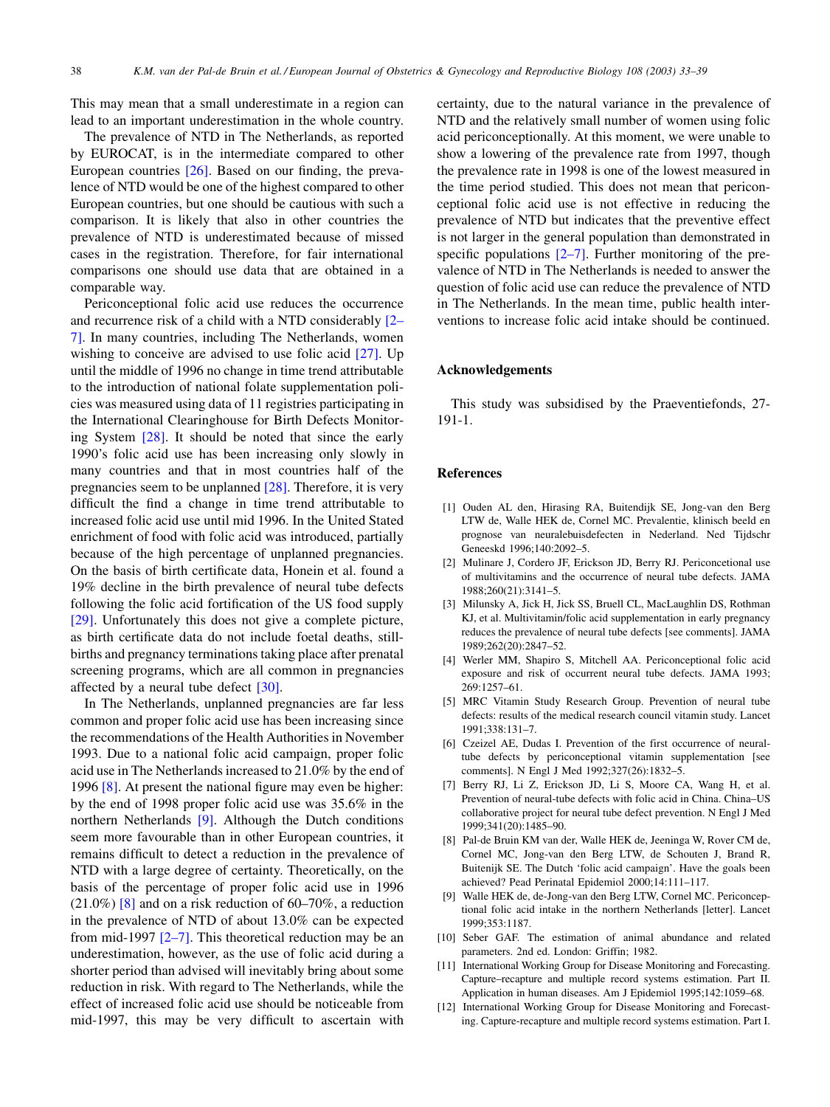<span id="page-5-0"></span>This may mean that a small underestimate in a region can lead to an important underestimation in the whole country.

The prevalence of NTD in The Netherlands, as reported by EUROCAT, is in the intermediate compared to other European countries [\[26\].](#page-6-0) Based on our finding, the prevalence of NTD would be one of the highest compared to other European countries, but one should be cautious with such a comparison. It is likely that also in other countries the prevalence of NTD is underestimated because of missed cases in the registration. Therefore, for fair international comparisons one should use data that are obtained in a comparable way.

Periconceptional folic acid use reduces the occurrence and recurrence risk of a child with a NTD considerably [2– 7]. In many countries, including The Netherlands, women wishing to conceive are advised to use folic acid [\[27\].](#page-6-0) Up until the middle of 1996 no change in time trend attributable to the introduction of national folate supplementation policies was measured using data of 11 registries participating in the International Clearinghouse for Birth Defects Monitoring System [\[28\]](#page-6-0). It should be noted that since the early 1990's folic acid use has been increasing only slowly in many countries and that in most countries half of the pregnancies seem to be unplanned [\[28\]](#page-6-0). Therefore, it is very difficult the find a change in time trend attributable to increased folic acid use until mid 1996. In the United Stated enrichment of food with folic acid was introduced, partially because of the high percentage of unplanned pregnancies. On the basis of birth certificate data, Honein et al. found a 19% decline in the birth prevalence of neural tube defects following the folic acid fortification of the US food supply [\[29\]](#page-6-0). Unfortunately this does not give a complete picture, as birth certificate data do not include foetal deaths, stillbirths and pregnancy terminations taking place after prenatal screening programs, which are all common in pregnancies affected by a neural tube defect [\[30\].](#page-6-0)

In The Netherlands, unplanned pregnancies are far less common and proper folic acid use has been increasing since the recommendations of the Health Authorities in November 1993. Due to a national folic acid campaign, proper folic acid use in The Netherlands increased to 21.0% by the end of 1996 [8]. At present the national figure may even be higher: by the end of 1998 proper folic acid use was 35.6% in the northern Netherlands [9]. Although the Dutch conditions seem more favourable than in other European countries, it remains difficult to detect a reduction in the prevalence of NTD with a large degree of certainty. Theoretically, on the basis of the percentage of proper folic acid use in 1996  $(21.0\%)$  [8] and on a risk reduction of 60–70%, a reduction in the prevalence of NTD of about 13.0% can be expected from mid-1997 [2–7]. This theoretical reduction may be an underestimation, however, as the use of folic acid during a shorter period than advised will inevitably bring about some reduction in risk. With regard to The Netherlands, while the effect of increased folic acid use should be noticeable from mid-1997, this may be very difficult to ascertain with

certainty, due to the natural variance in the prevalence of NTD and the relatively small number of women using folic acid periconceptionally. At this moment, we were unable to show a lowering of the prevalence rate from 1997, though the prevalence rate in 1998 is one of the lowest measured in the time period studied. This does not mean that periconceptional folic acid use is not effective in reducing the prevalence of NTD but indicates that the preventive effect is not larger in the general population than demonstrated in specific populations  $[2-7]$ . Further monitoring of the prevalence of NTD in The Netherlands is needed to answer the question of folic acid use can reduce the prevalence of NTD in The Netherlands. In the mean time, public health interventions to increase folic acid intake should be continued.

#### Acknowledgements

This study was subsidised by the Praeventiefonds, 27- 191-1.

### References

- [1] Ouden AL den, Hirasing RA, Buitendijk SE, Jong-van den Berg LTW de, Walle HEK de, Cornel MC. Prevalentie, klinisch beeld en prognose van neuralebuisdefecten in Nederland. Ned Tijdschr Geneeskd 1996;140:2092–5.
- [2] Mulinare J, Cordero JF, Erickson JD, Berry RJ. Periconcetional use of multivitamins and the occurrence of neural tube defects. JAMA 1988;260(21):3141–5.
- [3] Milunsky A, Jick H, Jick SS, Bruell CL, MacLaughlin DS, Rothman KJ, et al. Multivitamin/folic acid supplementation in early pregnancy reduces the prevalence of neural tube defects [see comments]. JAMA 1989;262(20):2847–52.
- [4] Werler MM, Shapiro S, Mitchell AA. Periconceptional folic acid exposure and risk of occurrent neural tube defects. JAMA 1993; 269:1257–61.
- [5] MRC Vitamin Study Research Group. Prevention of neural tube defects: results of the medical research council vitamin study. Lancet 1991;338:131–7.
- [6] Czeizel AE, Dudas I. Prevention of the first occurrence of neuraltube defects by periconceptional vitamin supplementation [see comments]. N Engl J Med 1992;327(26):1832–5.
- [7] Berry RJ, Li Z, Erickson JD, Li S, Moore CA, Wang H, et al. Prevention of neural-tube defects with folic acid in China. China–US collaborative project for neural tube defect prevention. N Engl J Med 1999;341(20):1485–90.
- [8] Pal-de Bruin KM van der, Walle HEK de, Jeeninga W, Rover CM de, Cornel MC, Jong-van den Berg LTW, de Schouten J, Brand R, Buitenijk SE. The Dutch 'folic acid campaign'. Have the goals been achieved? Pead Perinatal Epidemiol 2000;14:111–117.
- [9] Walle HEK de, de-Jong-van den Berg LTW, Cornel MC. Periconceptional folic acid intake in the northern Netherlands [letter]. Lancet 1999;353:1187.
- [10] Seber GAF. The estimation of animal abundance and related parameters. 2nd ed. London: Griffin; 1982.
- [11] International Working Group for Disease Monitoring and Forecasting. Capture–recapture and multiple record systems estimation. Part II. Application in human diseases. Am J Epidemiol 1995;142:1059–68.
- [12] International Working Group for Disease Monitoring and Forecasting. Capture-recapture and multiple record systems estimation. Part I.